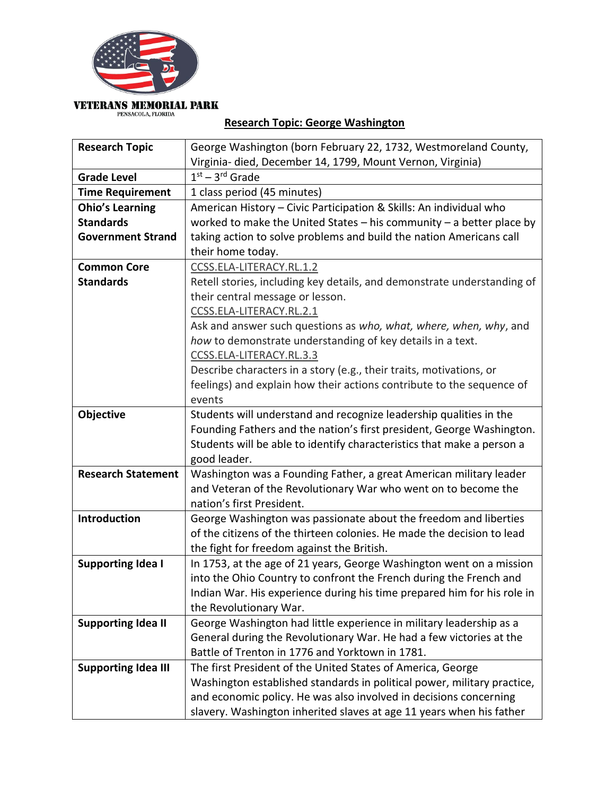

## **VETERANS MEMORIAL PARK** PENSACOLA, FLORIDA

## **Research Topic: George Washington**

| <b>Research Topic</b>      | George Washington (born February 22, 1732, Westmoreland County,          |
|----------------------------|--------------------------------------------------------------------------|
|                            | Virginia- died, December 14, 1799, Mount Vernon, Virginia)               |
| <b>Grade Level</b>         | $1st - 3rd$ Grade                                                        |
| <b>Time Requirement</b>    | 1 class period (45 minutes)                                              |
| <b>Ohio's Learning</b>     | American History - Civic Participation & Skills: An individual who       |
| <b>Standards</b>           | worked to make the United States $-$ his community $-$ a better place by |
| <b>Government Strand</b>   | taking action to solve problems and build the nation Americans call      |
|                            | their home today.                                                        |
| <b>Common Core</b>         | CCSS.ELA-LITERACY.RL.1.2                                                 |
| <b>Standards</b>           | Retell stories, including key details, and demonstrate understanding of  |
|                            | their central message or lesson.                                         |
|                            | CCSS.ELA-LITERACY.RL.2.1                                                 |
|                            | Ask and answer such questions as who, what, where, when, why, and        |
|                            | how to demonstrate understanding of key details in a text.               |
|                            | CCSS.ELA-LITERACY.RL.3.3                                                 |
|                            | Describe characters in a story (e.g., their traits, motivations, or      |
|                            | feelings) and explain how their actions contribute to the sequence of    |
|                            | events                                                                   |
| Objective                  | Students will understand and recognize leadership qualities in the       |
|                            | Founding Fathers and the nation's first president, George Washington.    |
|                            | Students will be able to identify characteristics that make a person a   |
|                            | good leader.                                                             |
| <b>Research Statement</b>  | Washington was a Founding Father, a great American military leader       |
|                            | and Veteran of the Revolutionary War who went on to become the           |
|                            | nation's first President.                                                |
| Introduction               | George Washington was passionate about the freedom and liberties         |
|                            | of the citizens of the thirteen colonies. He made the decision to lead   |
|                            | the fight for freedom against the British.                               |
| <b>Supporting Idea I</b>   | In 1753, at the age of 21 years, George Washington went on a mission     |
|                            | into the Ohio Country to confront the French during the French and       |
|                            | Indian War. His experience during his time prepared him for his role in  |
|                            | the Revolutionary War.                                                   |
| <b>Supporting Idea II</b>  | George Washington had little experience in military leadership as a      |
|                            | General during the Revolutionary War. He had a few victories at the      |
|                            | Battle of Trenton in 1776 and Yorktown in 1781.                          |
| <b>Supporting Idea III</b> | The first President of the United States of America, George              |
|                            | Washington established standards in political power, military practice,  |
|                            | and economic policy. He was also involved in decisions concerning        |
|                            | slavery. Washington inherited slaves at age 11 years when his father     |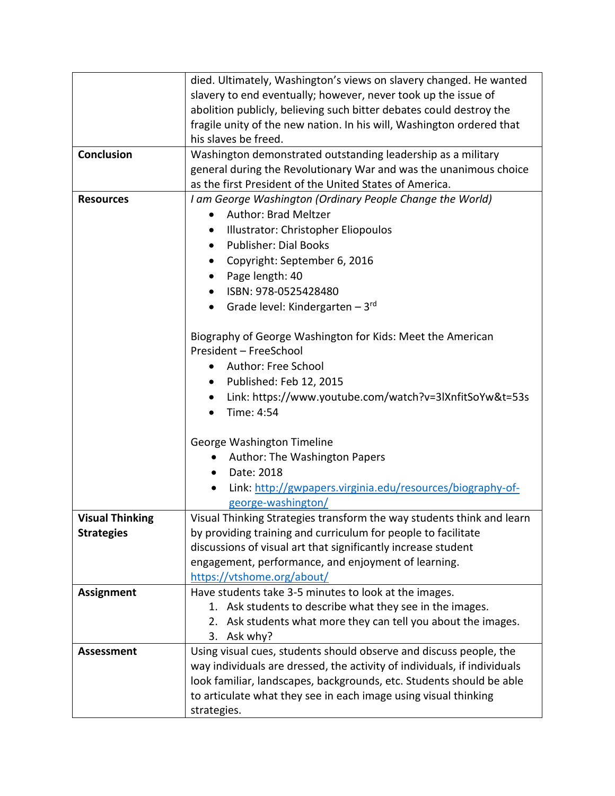|                        | died. Ultimately, Washington's views on slavery changed. He wanted       |
|------------------------|--------------------------------------------------------------------------|
|                        | slavery to end eventually; however, never took up the issue of           |
|                        | abolition publicly, believing such bitter debates could destroy the      |
|                        | fragile unity of the new nation. In his will, Washington ordered that    |
|                        | his slaves be freed.                                                     |
| Conclusion             | Washington demonstrated outstanding leadership as a military             |
|                        | general during the Revolutionary War and was the unanimous choice        |
|                        | as the first President of the United States of America.                  |
| <b>Resources</b>       | I am George Washington (Ordinary People Change the World)                |
|                        | <b>Author: Brad Meltzer</b><br>$\bullet$                                 |
|                        | Illustrator: Christopher Eliopoulos                                      |
|                        | <b>Publisher: Dial Books</b><br>$\bullet$                                |
|                        | Copyright: September 6, 2016                                             |
|                        | Page length: 40<br>$\bullet$                                             |
|                        | ISBN: 978-0525428480<br>$\bullet$                                        |
|                        | • Grade level: Kindergarten - $3^{rd}$                                   |
|                        |                                                                          |
|                        | Biography of George Washington for Kids: Meet the American               |
|                        | President - FreeSchool                                                   |
|                        | Author: Free School                                                      |
|                        | Published: Feb 12, 2015<br>٠                                             |
|                        | Link: https://www.youtube.com/watch?v=3lXnfitSoYw&t=53s<br>٠             |
|                        | Time: 4:54<br>$\bullet$                                                  |
|                        |                                                                          |
|                        | George Washington Timeline                                               |
|                        | Author: The Washington Papers<br>٠                                       |
|                        | Date: 2018<br>$\bullet$                                                  |
|                        | Link: http://gwpapers.virginia.edu/resources/biography-of-               |
|                        | george-washington/                                                       |
| <b>Visual Thinking</b> | Visual Thinking Strategies transform the way students think and learn    |
| <b>Strategies</b>      | by providing training and curriculum for people to facilitate            |
|                        | discussions of visual art that significantly increase student            |
|                        | engagement, performance, and enjoyment of learning.                      |
|                        | https://vtshome.org/about/                                               |
| <b>Assignment</b>      | Have students take 3-5 minutes to look at the images.                    |
|                        | 1. Ask students to describe what they see in the images.                 |
|                        | 2. Ask students what more they can tell you about the images.            |
|                        | 3. Ask why?                                                              |
| <b>Assessment</b>      | Using visual cues, students should observe and discuss people, the       |
|                        | way individuals are dressed, the activity of individuals, if individuals |
|                        | look familiar, landscapes, backgrounds, etc. Students should be able     |
|                        | to articulate what they see in each image using visual thinking          |
|                        | strategies.                                                              |